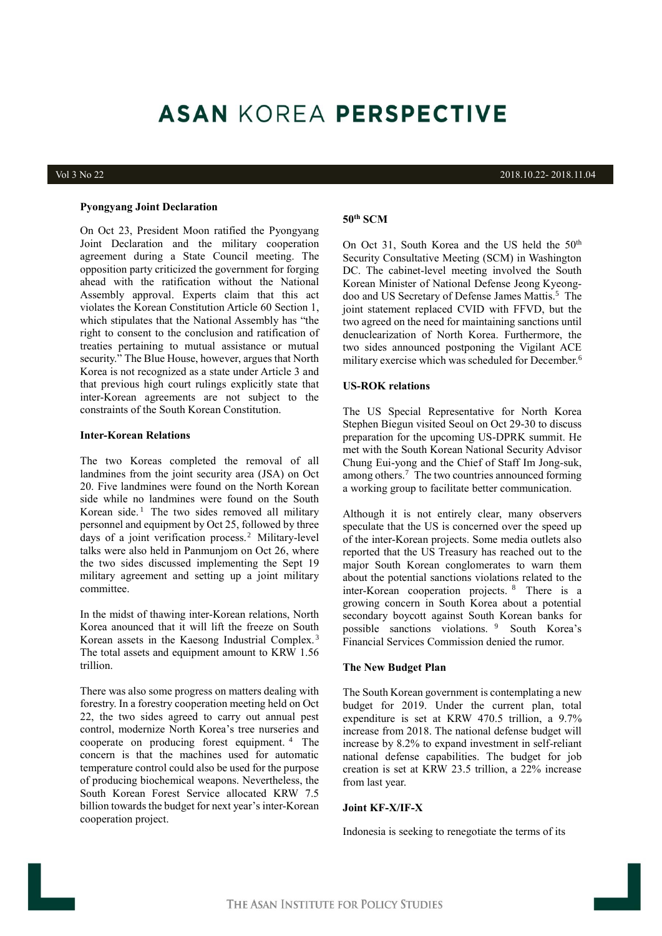# **ASAN KOREA PERSPECTIVE**

#### **Pyongyang Joint Declaration**

On Oct 23, President Moon ratified the Pyongyang Joint Declaration and the military cooperation agreement during a State Council meeting. The opposition party criticized the government for forging ahead with the ratification without the National Assembly approval. Experts claim that this act violates the Korean Constitution Article 60 Section 1, which stipulates that the National Assembly has "the right to consent to the conclusion and ratification of treaties pertaining to mutual assistance or mutual security." The Blue House, however, argues that North Korea is not recognized as a state under Article 3 and that previous high court rulings explicitly state that inter-Korean agreements are not subject to the constraints of the South Korean Constitution.

### **Inter-Korean Relations**

The two Koreas completed the removal of all landmines from the joint security area (JSA) on Oct 20. Five landmines were found on the North Korean side while no landmines were found on the South Korean side. 1 The two sides removed all military personnel and equipment by Oct 25, followed by three days of a joint verification process. 2 Military-level talks were also held in Panmunjom on Oct 26, where the two sides discussed implementing the Sept 19 military agreement and setting up a joint military committee.

In the midst of thawing inter-Korean relations, North Korea anounced that it will lift the freeze on South Korean assets in the Kaesong Industrial Complex. <sup>3</sup> The total assets and equipment amount to KRW 1.56 trillion.

There was also some progress on matters dealing with forestry. In a forestry cooperation meeting held on Oct 22, the two sides agreed to carry out annual pest control, modernize North Korea's tree nurseries and cooperate on producing forest equipment. <sup>4</sup> The concern is that the machines used for automatic temperature control could also be used for the purpose of producing biochemical weapons. Nevertheless, the South Korean Forest Service allocated KRW 7.5 billion towards the budget for next year's inter-Korean cooperation project.

Vol 3 No 22 2018.10.22- 2018.11.04

# **50th SCM**

On Oct 31, South Korea and the US held the  $50<sup>th</sup>$ Security Consultative Meeting (SCM) in Washington DC. The cabinet-level meeting involved the South Korean Minister of National Defense Jeong Kyeongdoo and US Secretary of Defense James Mattis. <sup>5</sup> The joint statement replaced CVID with FFVD, but the two agreed on the need for maintaining sanctions until denuclearization of North Korea. Furthermore, the two sides announced postponing the Vigilant ACE military exercise which was scheduled for December. 6

#### **US-ROK relations**

The US Special Representative for North Korea Stephen Biegun visited Seoul on Oct 29-30 to discuss preparation for the upcoming US-DPRK summit. He met with the South Korean National Security Advisor Chung Eui-yong and the Chief of Staff Im Jong-suk, among others. <sup>7</sup> The two countries announced forming a working group to facilitate better communication.

Although it is not entirely clear, many observers speculate that the US is concerned over the speed up of the inter-Korean projects. Some media outlets also reported that the US Treasury has reached out to the major South Korean conglomerates to warn them about the potential sanctions violations related to the inter-Korean cooperation projects. 8 There is a growing concern in South Korea about a potential secondary boycott against South Korean banks for possible sanctions violations. <sup>9</sup> South Korea's Financial Services Commission denied the rumor.

#### **The New Budget Plan**

The South Korean government is contemplating a new budget for 2019. Under the current plan, total expenditure is set at KRW 470.5 trillion, a 9.7% increase from 2018. The national defense budget will increase by 8.2% to expand investment in self-reliant national defense capabilities. The budget for job creation is set at KRW 23.5 trillion, a 22% increase from last year.

### **Joint KF-X/IF-X**

Indonesia is seeking to renegotiate the terms of its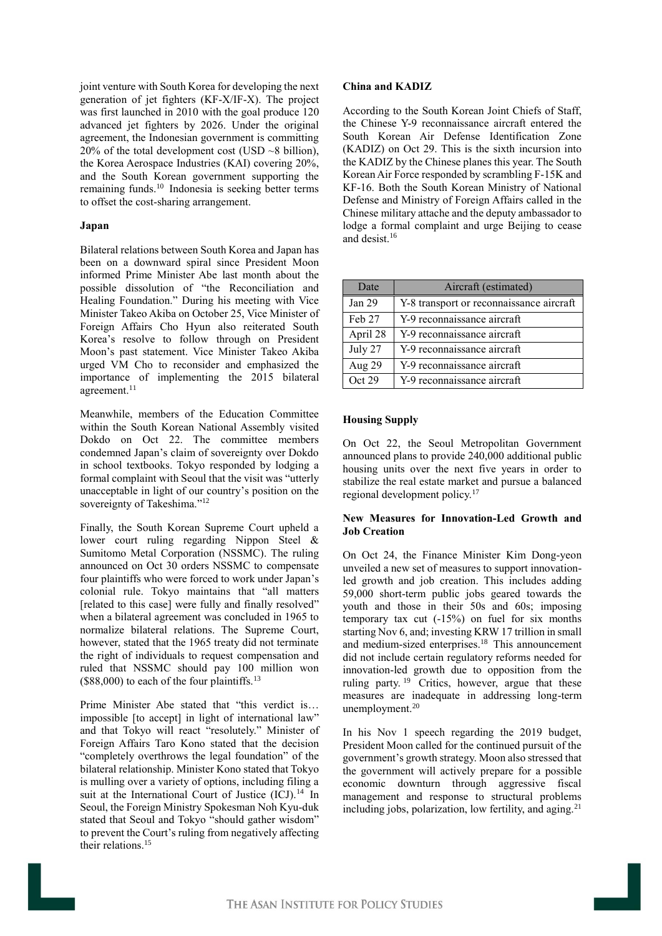joint venture with South Korea for developing the next generation of jet fighters (KF-X/IF-X). The project was first launched in 2010 with the goal produce 120 advanced jet fighters by 2026. Under the original agreement, the Indonesian government is committing 20% of the total development cost (USD  $~\sim$ 8 billion), the Korea Aerospace Industries (KAI) covering 20%, and the South Korean government supporting the remaining funds. <sup>10</sup> Indonesia is seeking better terms to offset the cost-sharing arrangement.

# **Japan**

Bilateral relations between South Korea and Japan has been on a downward spiral since President Moon informed Prime Minister Abe last month about the possible dissolution of "the Reconciliation and Healing Foundation." During his meeting with Vice Minister Takeo Akiba on October 25, Vice Minister of Foreign Affairs Cho Hyun also reiterated South Korea's resolve to follow through on President Moon's past statement. Vice Minister Takeo Akiba urged VM Cho to reconsider and emphasized the importance of implementing the 2015 bilateral agreement.<sup>11</sup>

Meanwhile, members of the Education Committee within the South Korean National Assembly visited Dokdo on Oct 22. The committee members condemned Japan's claim of sovereignty over Dokdo in school textbooks. Tokyo responded by lodging a formal complaint with Seoul that the visit was "utterly unacceptable in light of our country's position on the sovereignty of Takeshima."<sup>12</sup>

Finally, the South Korean Supreme Court upheld a lower court ruling regarding Nippon Steel & Sumitomo Metal Corporation (NSSMC). The ruling announced on Oct 30 orders NSSMC to compensate four plaintiffs who were forced to work under Japan's colonial rule. Tokyo maintains that "all matters [related to this case] were fully and finally resolved" when a bilateral agreement was concluded in 1965 to normalize bilateral relations. The Supreme Court, however, stated that the 1965 treaty did not terminate the right of individuals to request compensation and ruled that NSSMC should pay 100 million won  $($88,000)$  to each of the four plaintiffs.<sup>13</sup>

Prime Minister Abe stated that "this verdict is… impossible [to accept] in light of international law" and that Tokyo will react "resolutely." Minister of Foreign Affairs Taro Kono stated that the decision "completely overthrows the legal foundation" of the bilateral relationship. Minister Kono stated that Tokyo is mulling over a variety of options, including filing a suit at the International Court of Justice (ICJ).<sup>14</sup> In Seoul, the Foreign Ministry Spokesman Noh Kyu-duk stated that Seoul and Tokyo "should gather wisdom" to prevent the Court's ruling from negatively affecting their relations. 15

#### **China and KADIZ**

According to the South Korean Joint Chiefs of Staff, the Chinese Y-9 reconnaissance aircraft entered the South Korean Air Defense Identification Zone (KADIZ) on Oct 29. This is the sixth incursion into the KADIZ by the Chinese planes this year. The South Korean Air Force responded by scrambling F-15K and KF-16. Both the South Korean Ministry of National Defense and Ministry of Foreign Affairs called in the Chinese military attache and the deputy ambassador to lodge a formal complaint and urge Beijing to cease and desist. 16

| Date     | Aircraft (estimated)                     |
|----------|------------------------------------------|
| Jan 29   | Y-8 transport or reconnaissance aircraft |
| Feb 27   | Y-9 reconnaissance aircraft              |
| April 28 | Y-9 reconnaissance aircraft              |
| July 27  | Y-9 reconnaissance aircraft              |
| Aug 29   | Y-9 reconnaissance aircraft              |
| Oct 29   | Y-9 reconnaissance aircraft              |

#### **Housing Supply**

On Oct 22, the Seoul Metropolitan Government announced plans to provide 240,000 additional public housing units over the next five years in order to stabilize the real estate market and pursue a balanced regional development policy.<sup>17</sup>

# **New Measures for Innovation-Led Growth and Job Creation**

On Oct 24, the Finance Minister Kim Dong-yeon unveiled a new set of measures to support innovationled growth and job creation. This includes adding 59,000 short-term public jobs geared towards the youth and those in their 50s and 60s; imposing temporary tax cut (-15%) on fuel for six months starting Nov 6, and; investing KRW 17 trillion in small and medium-sized enterprises.<sup>18</sup> This announcement did not include certain regulatory reforms needed for innovation-led growth due to opposition from the ruling party.<sup>19</sup> Critics, however, argue that these measures are inadequate in addressing long-term unemployment. 20

In his Nov 1 speech regarding the 2019 budget, President Moon called for the continued pursuit of the government's growth strategy. Moon also stressed that the government will actively prepare for a possible economic downturn through aggressive fiscal management and response to structural problems including jobs, polarization, low fertility, and aging.<sup>21</sup>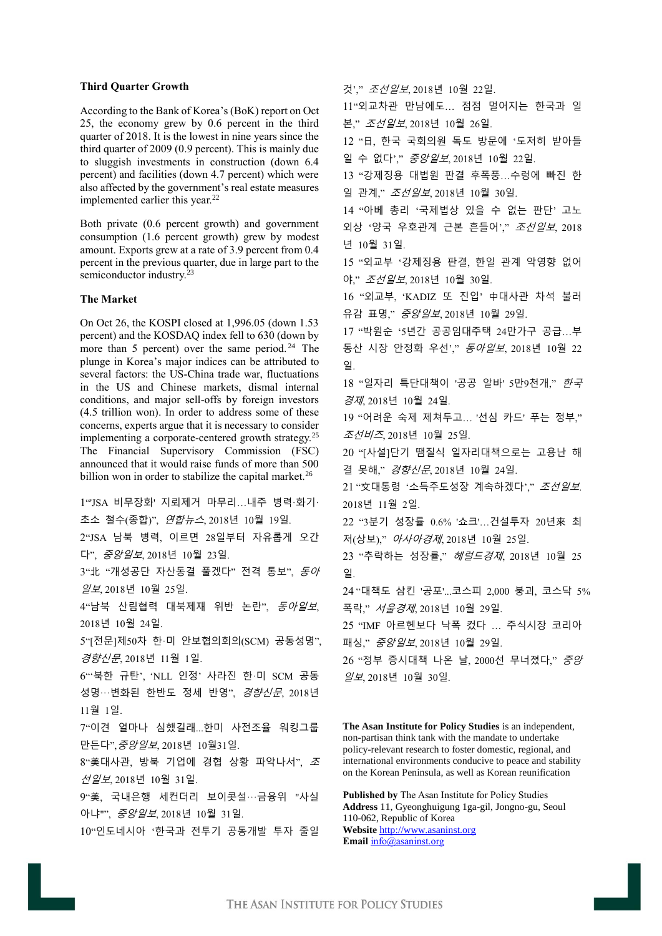### **Third Quarter Growth**

According to the Bank of Korea's (BoK) report on Oct 25, the economy grew by 0.6 percent in the third quarter of 2018. It is the lowest in nine years since the third quarter of 2009 (0.9 percent). This is mainly due to sluggish investments in construction (down 6.4 percent) and facilities (down 4.7 percent) which were also affected by the government's real estate measures implemented earlier this year.<sup>22</sup>

Both private (0.6 percent growth) and government consumption (1.6 percent growth) grew by modest amount. Exports grew at a rate of 3.9 percent from 0.4 percent in the previous quarter, due in large part to the semiconductor industry.<sup>23</sup>

# **The Market**

On Oct 26, the KOSPI closed at 1,996.05 (down 1.53 percent) and the KOSDAQ index fell to 630 (down by more than 5 percent) over the same period.<sup>24</sup> The plunge in Korea's major indices can be attributed to several factors: the US-China trade war, fluctuations in the US and Chinese markets, dismal internal conditions, and major sell-offs by foreign investors (4.5 trillion won). In order to address some of these concerns, experts argue that it is necessary to consider implementing a corporate-centered growth strategy.<sup>25</sup> The Financial Supervisory Commission (FSC) announced that it would raise funds of more than 500 billion won in order to stabilize the capital market.<sup>26</sup>

1"'JSA 비무장화' 지뢰제거 마무리…내주 병력·화기· 초소 철수(종합)", 연합뉴스, 2018년 10월 19일. 2"JSA 남북 병력, 이르면 28일부터 자유롭게 오간 다", 중앙일보, 2018년 10월 23일. 3" $#$  "개성공단 자산동결 풀겠다" 전격 통보",  $\mathcal{S}$ 아 일보, 2018년 10월 25일. 4"남북 산림협력 대북제재 위반 논란", 동아일보, 2018년 10월 24일. 5"[전문]제50차 한·미 안보협의회의(SCM) 공동성명", *경향신문*,2018년 11월 1일. 6"'북한 규탄', 'NLL 인정' 사라진 한·미 SCM 공동 성명…변화된 한반도 정세 반영", 경향신문, 2018년 11월 1일. 7"이견 얼마나 심했길래...한미 사전조율 워킹그룹 만든다",중앙일보, 2018년 10월31일. 8"美대사관, 방북 기업에 경협 상황 파악나서", <sup>조</sup> 선일보, 2018년 10월 31일. 9"美, 국내은행 세컨더리 보이콧설···금융위 "사실 아냐"", 중앙일보, 2018년 10월 31일. 10"인도네시아 '한국과 전투기 공동개발 투자 줄일

것'," 조선일보, 2018년 10월 22일. 11"외교차관 만남에도… 점점 멀어지는 한국과 일 본," 조선일보, 2018년 10월 26일. 12 "日, 한국 국회의원 독도 방문에 '도저히 받아들 일 수 없다'," 중앙일보, 2018년 10월 22일. 13 "강제징용 대법원 판결 후폭풍…수렁에 빠진 한 일 관계," 조선일보, 2018년 10월 30일. 14 "아베 총리 '국제법상 있을 수 없는 판단' 고노 외상 '양국 우호관계 근본 흔들어'," 조선*일보*, 2018 년 10월 31일. 15 "외교부 '강제징용 판결, 한일 관계 악영향 없어 야," 조선일보, 2018년 10월 30일. 16 "외교부, 'KADIZ 또 진입' 中대사관 차석 불러 유감 표명," 중앙일보, 2018년 10월 29일. 17 "박원순 '5년간 공공임대주택 24만가구 공급…부 동산 시장 안정화 우선'," 동아일보, 2018년 10월 22 일. 18 "일자리 특단대책이 '공공 알바' 5만9천개," 한국 경제, 2018년 10월 24일. 19 "어려운 숙제 제쳐두고… '선심 카드' 푸는 정부," 조선비즈, 2018년 10월 25일. 20 "[사설]단기 땜질식 일자리대책으로는 고용난 해 결 못해," 경향신문, 2018년 10월 24일. 21 "文대통령 '소득주도성장 계속하겠다', " 조선일보. 2018년 11월 2일. 22 "3분기 성장률 0.6% '쇼크'…건설투자 20년來 최 저(상보)," 아사아경제, 2018년 10월 25일. 23 "추락하는 성장률," 헤럴드경제, 2018년 10월 25 일. 24 "대책도 삼킨 '공포'...코스피 2,000 붕괴, 코스닥 5% 폭락," 서울경제, 2018넌 10월 29일. 25 "IMF 아르헨보다 낙폭 컸다 … 주식시장 코리아 패싱," 중앙일보, 2018년 10월 29일.  $26$  "정부 증시대책 나온 날,  $2000$ 선 무너졌다,"  $58$ 일보, 2018년 10월 30일. **The Asan Institute for Policy Studies** is an independent, non-partisan think tank with the mandate to undertake policy-relevant research to foster domestic, regional, and international environments conducive to peace and stability on the Korean Peninsula, as well as Korean reunification

**Published by** The Asan Institute for Policy Studies **Address** 11, Gyeonghuigung 1ga-gil, Jongno-gu, Seoul 110-062, Republic of Korea **Website** [http://www.asaninst.org](http://www.asaninst.org/) **Email** [info@asaninst.org](mailto:info@asaninst.org)